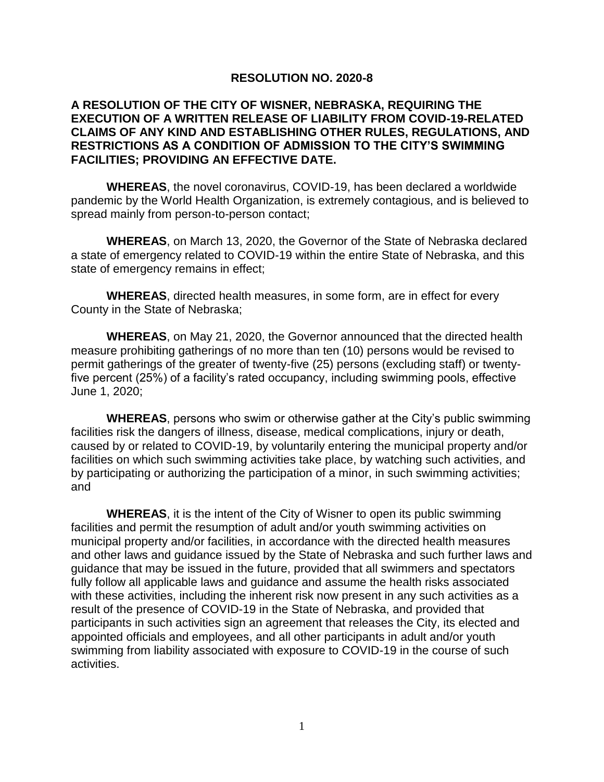## **RESOLUTION NO. 2020-8**

## **A RESOLUTION OF THE CITY OF WISNER, NEBRASKA, REQUIRING THE EXECUTION OF A WRITTEN RELEASE OF LIABILITY FROM COVID-19-RELATED CLAIMS OF ANY KIND AND ESTABLISHING OTHER RULES, REGULATIONS, AND RESTRICTIONS AS A CONDITION OF ADMISSION TO THE CITY'S SWIMMING FACILITIES; PROVIDING AN EFFECTIVE DATE.**

**WHEREAS**, the novel coronavirus, COVID-19, has been declared a worldwide pandemic by the World Health Organization, is extremely contagious, and is believed to spread mainly from person-to-person contact;

**WHEREAS**, on March 13, 2020, the Governor of the State of Nebraska declared a state of emergency related to COVID-19 within the entire State of Nebraska, and this state of emergency remains in effect;

**WHEREAS**, directed health measures, in some form, are in effect for every County in the State of Nebraska;

**WHEREAS**, on May 21, 2020, the Governor announced that the directed health measure prohibiting gatherings of no more than ten (10) persons would be revised to permit gatherings of the greater of twenty-five (25) persons (excluding staff) or twentyfive percent (25%) of a facility's rated occupancy, including swimming pools, effective June 1, 2020;

**WHEREAS**, persons who swim or otherwise gather at the City's public swimming facilities risk the dangers of illness, disease, medical complications, injury or death, caused by or related to COVID-19, by voluntarily entering the municipal property and/or facilities on which such swimming activities take place, by watching such activities, and by participating or authorizing the participation of a minor, in such swimming activities; and

**WHEREAS**, it is the intent of the City of Wisner to open its public swimming facilities and permit the resumption of adult and/or youth swimming activities on municipal property and/or facilities, in accordance with the directed health measures and other laws and guidance issued by the State of Nebraska and such further laws and guidance that may be issued in the future, provided that all swimmers and spectators fully follow all applicable laws and guidance and assume the health risks associated with these activities, including the inherent risk now present in any such activities as a result of the presence of COVID-19 in the State of Nebraska, and provided that participants in such activities sign an agreement that releases the City, its elected and appointed officials and employees, and all other participants in adult and/or youth swimming from liability associated with exposure to COVID-19 in the course of such activities.